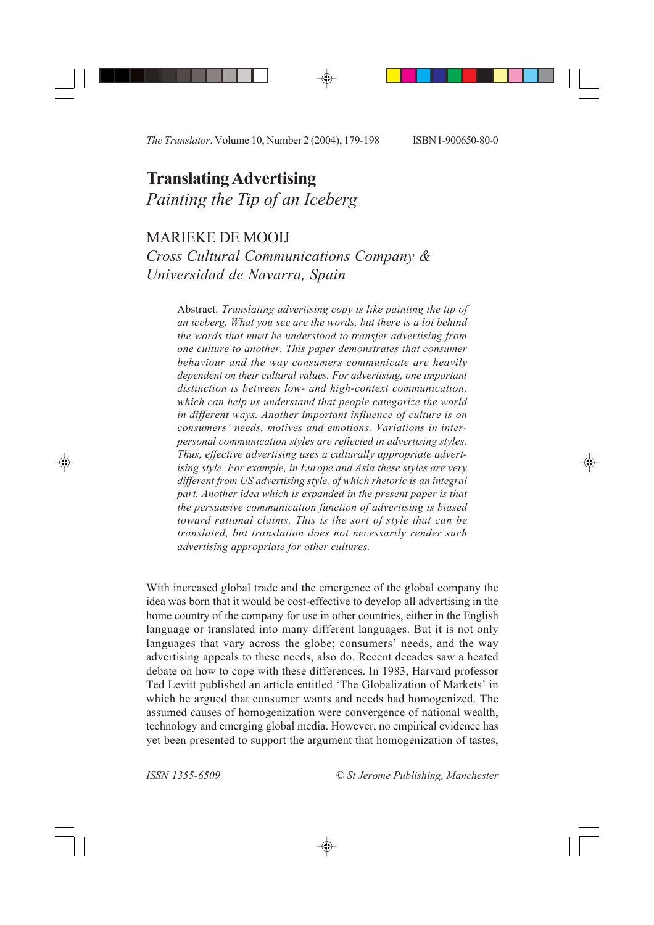*The Translator*. Volume 10, Number 2 (2004), 179-198 ISBN 1-900650-80-0

# **Translating Advertising**

*Painting the Tip of an Iceberg*

# MARIEKE DE MOOIJ

*Cross Cultural Communications Company & Universidad de Navarra, Spain*

> Abstract. *Translating advertising copy is like painting the tip of an iceberg. What you see are the words, but there is a lot behind the words that must be understood to transfer advertising from one culture to another. This paper demonstrates that consumer behaviour and the way consumers communicate are heavily dependent on their cultural values. For advertising, one important distinction is between low- and high-context communication, which can help us understand that people categorize the world in different ways. Another important influence of culture is on consumers' needs, motives and emotions. Variations in interpersonal communication styles are reflected in advertising styles. Thus, effective advertising uses a culturally appropriate advertising style. For example, in Europe and Asia these styles are very different from US advertising style, of which rhetoric is an integral part. Another idea which is expanded in the present paper is that the persuasive communication function of advertising is biased toward rational claims. This is the sort of style that can be translated, but translation does not necessarily render such advertising appropriate for other cultures.*

With increased global trade and the emergence of the global company the idea was born that it would be cost-effective to develop all advertising in the home country of the company for use in other countries, either in the English language or translated into many different languages. But it is not only languages that vary across the globe; consumers' needs, and the way advertising appeals to these needs, also do. Recent decades saw a heated debate on how to cope with these differences. In 1983, Harvard professor Ted Levitt published an article entitled 'The Globalization of Markets' in which he argued that consumer wants and needs had homogenized. The assumed causes of homogenization were convergence of national wealth, technology and emerging global media. However, no empirical evidence has yet been presented to support the argument that homogenization of tastes,

*ISSN 1355-6509 © St Jerome Publishing, Manchester*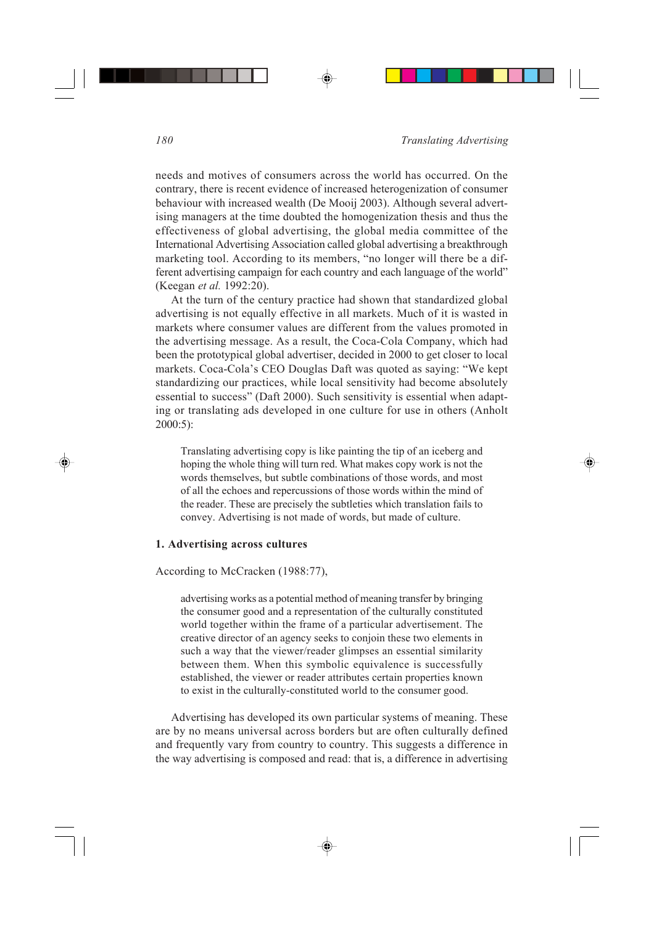needs and motives of consumers across the world has occurred. On the contrary, there is recent evidence of increased heterogenization of consumer behaviour with increased wealth (De Mooij 2003). Although several advertising managers at the time doubted the homogenization thesis and thus the effectiveness of global advertising, the global media committee of the International Advertising Association called global advertising a breakthrough marketing tool. According to its members, "no longer will there be a different advertising campaign for each country and each language of the world" (Keegan *et al.* 1992:20).

At the turn of the century practice had shown that standardized global advertising is not equally effective in all markets. Much of it is wasted in markets where consumer values are different from the values promoted in the advertising message. As a result, the Coca-Cola Company, which had been the prototypical global advertiser, decided in 2000 to get closer to local markets. Coca-Cola's CEO Douglas Daft was quoted as saying: "We kept standardizing our practices, while local sensitivity had become absolutely essential to success" (Daft 2000). Such sensitivity is essential when adapting or translating ads developed in one culture for use in others (Anholt 2000:5):

Translating advertising copy is like painting the tip of an iceberg and hoping the whole thing will turn red. What makes copy work is not the words themselves, but subtle combinations of those words, and most of all the echoes and repercussions of those words within the mind of the reader. These are precisely the subtleties which translation fails to convey. Advertising is not made of words, but made of culture.

#### **1. Advertising across cultures**

According to McCracken (1988:77),

advertising works as a potential method of meaning transfer by bringing the consumer good and a representation of the culturally constituted world together within the frame of a particular advertisement. The creative director of an agency seeks to conjoin these two elements in such a way that the viewer/reader glimpses an essential similarity between them. When this symbolic equivalence is successfully established, the viewer or reader attributes certain properties known to exist in the culturally-constituted world to the consumer good.

Advertising has developed its own particular systems of meaning. These are by no means universal across borders but are often culturally defined and frequently vary from country to country. This suggests a difference in the way advertising is composed and read: that is, a difference in advertising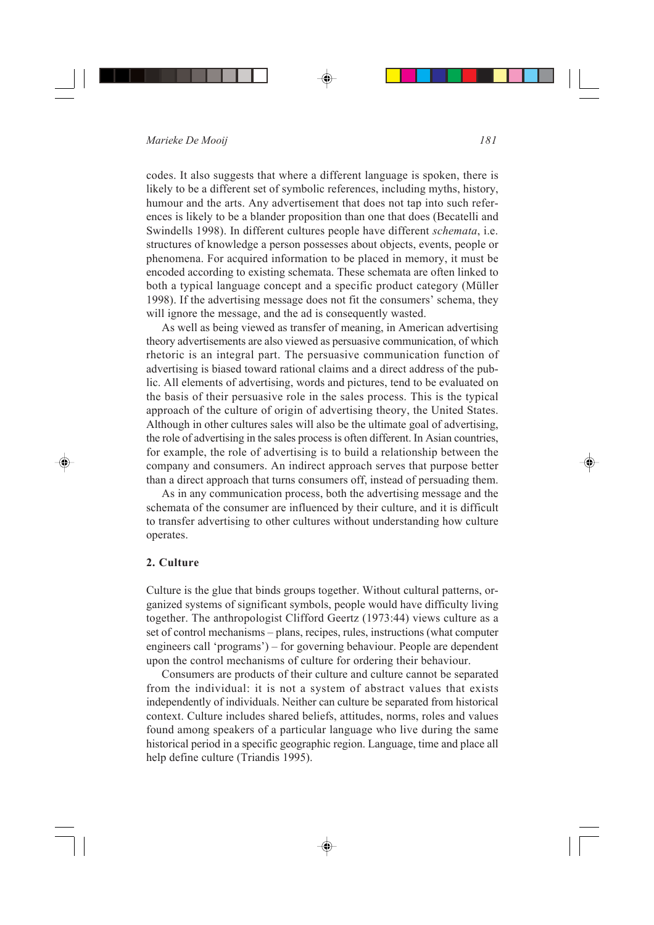codes. It also suggests that where a different language is spoken, there is likely to be a different set of symbolic references, including myths, history, humour and the arts. Any advertisement that does not tap into such references is likely to be a blander proposition than one that does (Becatelli and Swindells 1998). In different cultures people have different *schemata*, i.e. structures of knowledge a person possesses about objects, events, people or phenomena. For acquired information to be placed in memory, it must be encoded according to existing schemata. These schemata are often linked to both a typical language concept and a specific product category (Müller 1998). If the advertising message does not fit the consumers' schema, they will ignore the message, and the ad is consequently wasted.

As well as being viewed as transfer of meaning, in American advertising theory advertisements are also viewed as persuasive communication, of which rhetoric is an integral part. The persuasive communication function of advertising is biased toward rational claims and a direct address of the public. All elements of advertising, words and pictures, tend to be evaluated on the basis of their persuasive role in the sales process. This is the typical approach of the culture of origin of advertising theory, the United States. Although in other cultures sales will also be the ultimate goal of advertising, the role of advertising in the sales process is often different. In Asian countries, for example, the role of advertising is to build a relationship between the company and consumers. An indirect approach serves that purpose better than a direct approach that turns consumers off, instead of persuading them.

As in any communication process, both the advertising message and the schemata of the consumer are influenced by their culture, and it is difficult to transfer advertising to other cultures without understanding how culture operates.

### **2. Culture**

Culture is the glue that binds groups together. Without cultural patterns, organized systems of significant symbols, people would have difficulty living together. The anthropologist Clifford Geertz (1973:44) views culture as a set of control mechanisms – plans, recipes, rules, instructions (what computer engineers call 'programs') – for governing behaviour. People are dependent upon the control mechanisms of culture for ordering their behaviour.

Consumers are products of their culture and culture cannot be separated from the individual: it is not a system of abstract values that exists independently of individuals. Neither can culture be separated from historical context. Culture includes shared beliefs, attitudes, norms, roles and values found among speakers of a particular language who live during the same historical period in a specific geographic region. Language, time and place all help define culture (Triandis 1995).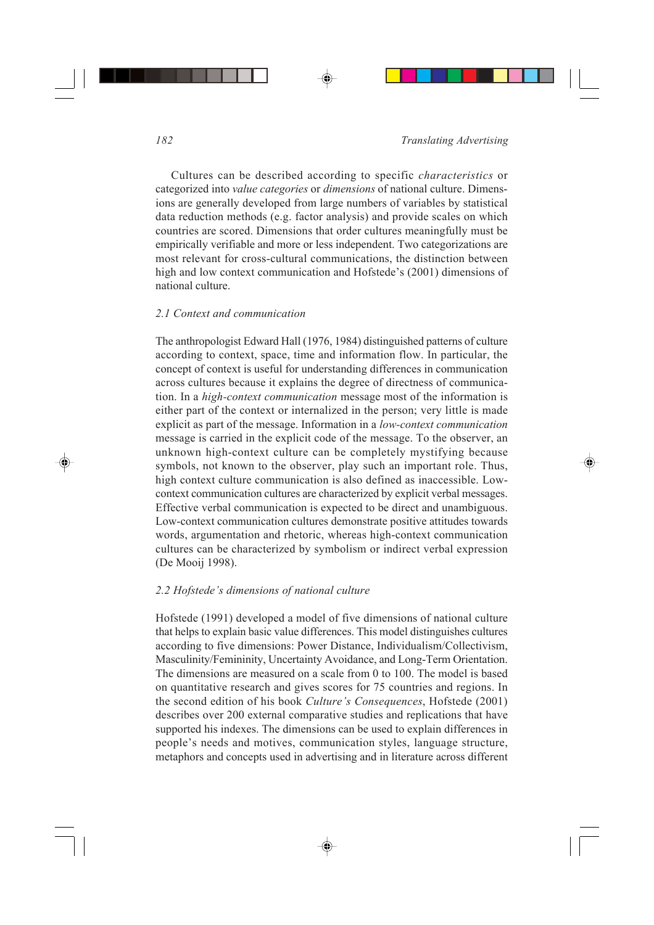Cultures can be described according to specific *characteristics* or categorized into *value categories* or *dimensions* of national culture. Dimensions are generally developed from large numbers of variables by statistical data reduction methods (e.g. factor analysis) and provide scales on which countries are scored. Dimensions that order cultures meaningfully must be empirically verifiable and more or less independent. Two categorizations are most relevant for cross-cultural communications, the distinction between high and low context communication and Hofstede's (2001) dimensions of national culture.

#### *2.1 Context and communication*

The anthropologist Edward Hall (1976, 1984) distinguished patterns of culture according to context, space, time and information flow. In particular, the concept of context is useful for understanding differences in communication across cultures because it explains the degree of directness of communication. In a *high-context communication* message most of the information is either part of the context or internalized in the person; very little is made explicit as part of the message. Information in a *low-context communication* message is carried in the explicit code of the message. To the observer, an unknown high-context culture can be completely mystifying because symbols, not known to the observer, play such an important role. Thus, high context culture communication is also defined as inaccessible. Lowcontext communication cultures are characterized by explicit verbal messages. Effective verbal communication is expected to be direct and unambiguous. Low-context communication cultures demonstrate positive attitudes towards words, argumentation and rhetoric, whereas high-context communication cultures can be characterized by symbolism or indirect verbal expression (De Mooij 1998).

#### *2.2 Hofstede's dimensions of national culture*

Hofstede (1991) developed a model of five dimensions of national culture that helps to explain basic value differences. This model distinguishes cultures according to five dimensions: Power Distance, Individualism/Collectivism, Masculinity/Femininity, Uncertainty Avoidance, and Long-Term Orientation. The dimensions are measured on a scale from 0 to 100. The model is based on quantitative research and gives scores for 75 countries and regions. In the second edition of his book *Culture's Consequences*, Hofstede (2001) describes over 200 external comparative studies and replications that have supported his indexes. The dimensions can be used to explain differences in people's needs and motives, communication styles, language structure, metaphors and concepts used in advertising and in literature across different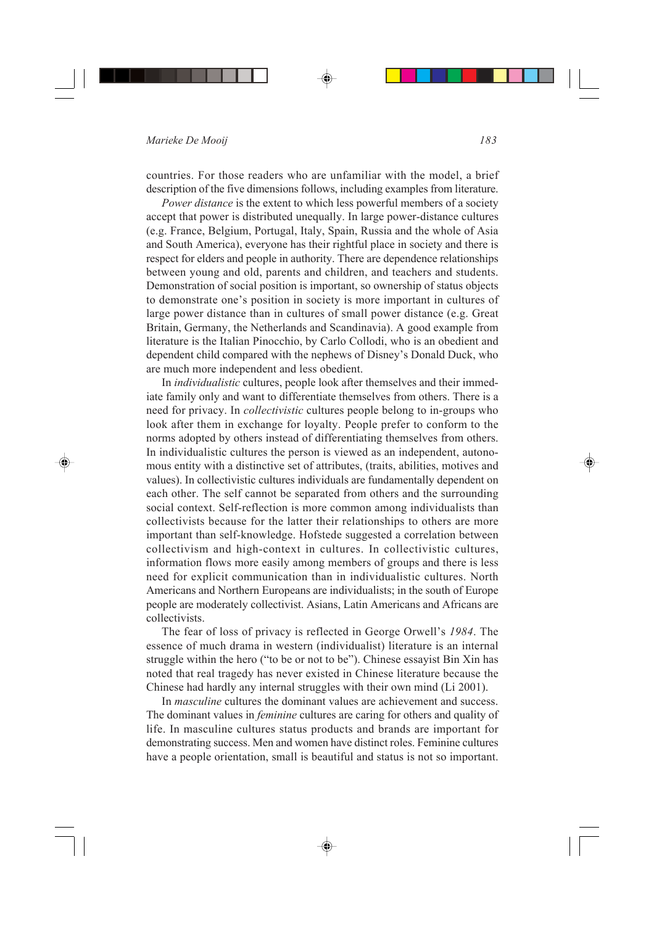countries. For those readers who are unfamiliar with the model, a brief description of the five dimensions follows, including examples from literature.

*Power distance* is the extent to which less powerful members of a society accept that power is distributed unequally. In large power-distance cultures (e.g. France, Belgium, Portugal, Italy, Spain, Russia and the whole of Asia and South America), everyone has their rightful place in society and there is respect for elders and people in authority. There are dependence relationships between young and old, parents and children, and teachers and students. Demonstration of social position is important, so ownership of status objects to demonstrate one's position in society is more important in cultures of large power distance than in cultures of small power distance (e.g. Great Britain, Germany, the Netherlands and Scandinavia). A good example from literature is the Italian Pinocchio, by Carlo Collodi, who is an obedient and dependent child compared with the nephews of Disney's Donald Duck, who are much more independent and less obedient.

In *individualistic* cultures, people look after themselves and their immediate family only and want to differentiate themselves from others. There is a need for privacy. In *collectivistic* cultures people belong to in-groups who look after them in exchange for loyalty. People prefer to conform to the norms adopted by others instead of differentiating themselves from others. In individualistic cultures the person is viewed as an independent, autonomous entity with a distinctive set of attributes, (traits, abilities, motives and values). In collectivistic cultures individuals are fundamentally dependent on each other. The self cannot be separated from others and the surrounding social context. Self-reflection is more common among individualists than collectivists because for the latter their relationships to others are more important than self-knowledge. Hofstede suggested a correlation between collectivism and high-context in cultures. In collectivistic cultures, information flows more easily among members of groups and there is less need for explicit communication than in individualistic cultures. North Americans and Northern Europeans are individualists; in the south of Europe people are moderately collectivist. Asians, Latin Americans and Africans are collectivists.

The fear of loss of privacy is reflected in George Orwell's *1984*. The essence of much drama in western (individualist) literature is an internal struggle within the hero ("to be or not to be"). Chinese essayist Bin Xin has noted that real tragedy has never existed in Chinese literature because the Chinese had hardly any internal struggles with their own mind (Li 2001).

In *masculine* cultures the dominant values are achievement and success. The dominant values in *feminine* cultures are caring for others and quality of life. In masculine cultures status products and brands are important for demonstrating success. Men and women have distinct roles. Feminine cultures have a people orientation, small is beautiful and status is not so important.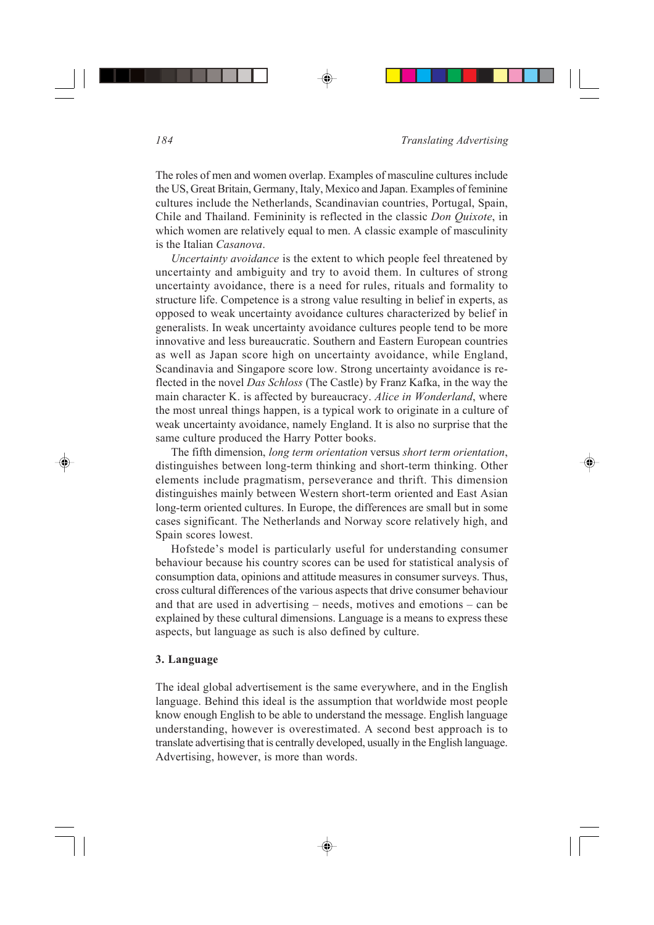The roles of men and women overlap. Examples of masculine cultures include the US, Great Britain, Germany, Italy, Mexico and Japan. Examples of feminine cultures include the Netherlands, Scandinavian countries, Portugal, Spain, Chile and Thailand. Femininity is reflected in the classic *Don Quixote*, in which women are relatively equal to men. A classic example of masculinity is the Italian *Casanova*.

*Uncertainty avoidance* is the extent to which people feel threatened by uncertainty and ambiguity and try to avoid them. In cultures of strong uncertainty avoidance, there is a need for rules, rituals and formality to structure life. Competence is a strong value resulting in belief in experts, as opposed to weak uncertainty avoidance cultures characterized by belief in generalists. In weak uncertainty avoidance cultures people tend to be more innovative and less bureaucratic. Southern and Eastern European countries as well as Japan score high on uncertainty avoidance, while England, Scandinavia and Singapore score low. Strong uncertainty avoidance is reflected in the novel *Das Schloss* (The Castle) by Franz Kafka, in the way the main character K. is affected by bureaucracy. *Alice in Wonderland*, where the most unreal things happen, is a typical work to originate in a culture of weak uncertainty avoidance, namely England. It is also no surprise that the same culture produced the Harry Potter books.

The fifth dimension, *long term orientation* versus *short term orientation*, distinguishes between long-term thinking and short-term thinking. Other elements include pragmatism, perseverance and thrift. This dimension distinguishes mainly between Western short-term oriented and East Asian long-term oriented cultures. In Europe, the differences are small but in some cases significant. The Netherlands and Norway score relatively high, and Spain scores lowest.

Hofstede's model is particularly useful for understanding consumer behaviour because his country scores can be used for statistical analysis of consumption data, opinions and attitude measures in consumer surveys. Thus, cross cultural differences of the various aspects that drive consumer behaviour and that are used in advertising – needs, motives and emotions – can be explained by these cultural dimensions. Language is a means to express these aspects, but language as such is also defined by culture.

#### **3. Language**

The ideal global advertisement is the same everywhere, and in the English language. Behind this ideal is the assumption that worldwide most people know enough English to be able to understand the message. English language understanding, however is overestimated. A second best approach is to translate advertising that is centrally developed, usually in the English language. Advertising, however, is more than words.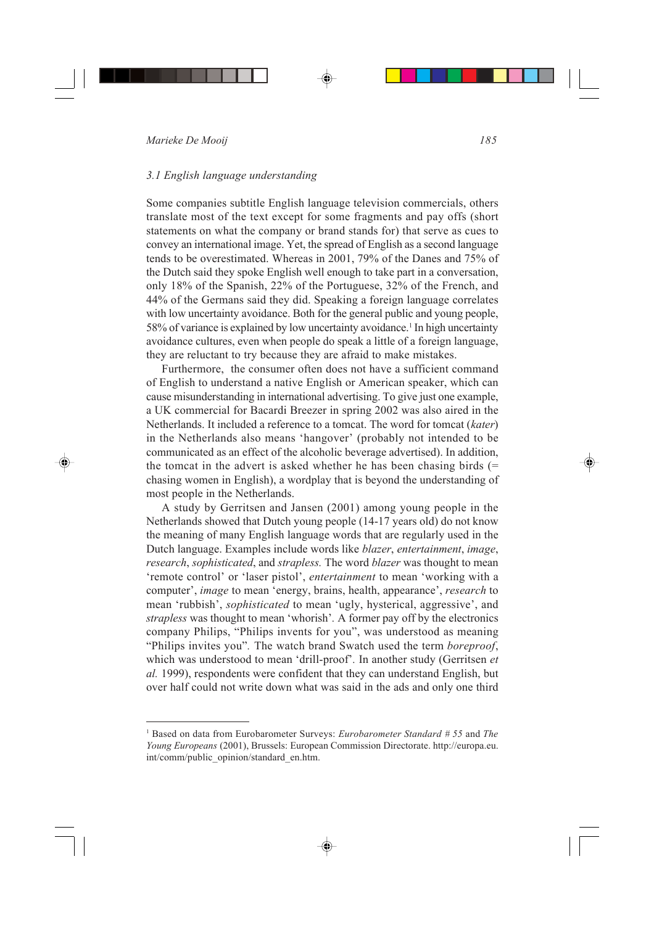## *3.1 English language understanding*

Some companies subtitle English language television commercials, others translate most of the text except for some fragments and pay offs (short statements on what the company or brand stands for) that serve as cues to convey an international image. Yet, the spread of English as a second language tends to be overestimated. Whereas in 2001, 79% of the Danes and 75% of the Dutch said they spoke English well enough to take part in a conversation, only 18% of the Spanish, 22% of the Portuguese, 32% of the French, and 44% of the Germans said they did. Speaking a foreign language correlates with low uncertainty avoidance. Both for the general public and young people, 58% of variance is explained by low uncertainty avoidance.<sup>1</sup> In high uncertainty avoidance cultures, even when people do speak a little of a foreign language, they are reluctant to try because they are afraid to make mistakes.

Furthermore, the consumer often does not have a sufficient command of English to understand a native English or American speaker, which can cause misunderstanding in international advertising. To give just one example, a UK commercial for Bacardi Breezer in spring 2002 was also aired in the Netherlands. It included a reference to a tomcat. The word for tomcat (*kater*) in the Netherlands also means 'hangover' (probably not intended to be communicated as an effect of the alcoholic beverage advertised). In addition, the tomcat in the advert is asked whether he has been chasing birds (= chasing women in English), a wordplay that is beyond the understanding of most people in the Netherlands.

A study by Gerritsen and Jansen (2001) among young people in the Netherlands showed that Dutch young people (14-17 years old) do not know the meaning of many English language words that are regularly used in the Dutch language. Examples include words like *blazer*, *entertainment*, *image*, *research*, *sophisticated*, and *strapless.* The word *blazer* was thought to mean 'remote control' or 'laser pistol', *entertainment* to mean 'working with a computer', *image* to mean 'energy, brains, health, appearance', *research* to mean 'rubbish', *sophisticated* to mean 'ugly, hysterical, aggressive', and *strapless* was thought to mean 'whorish'*.* A former pay off by the electronics company Philips, "Philips invents for you", was understood as meaning "Philips invites you"*.* The watch brand Swatch used the term *boreproof*, which was understood to mean 'drill-proof'*.* In another study (Gerritsen *et al.* 1999), respondents were confident that they can understand English, but over half could not write down what was said in the ads and only one third

<sup>&</sup>lt;sup>1</sup> Based on data from Eurobarometer Surveys: *Eurobarometer Standard* # 55 and *The Young Europeans* (2001), Brussels: European Commission Directorate. http://europa.eu. int/comm/public\_opinion/standard\_en.htm.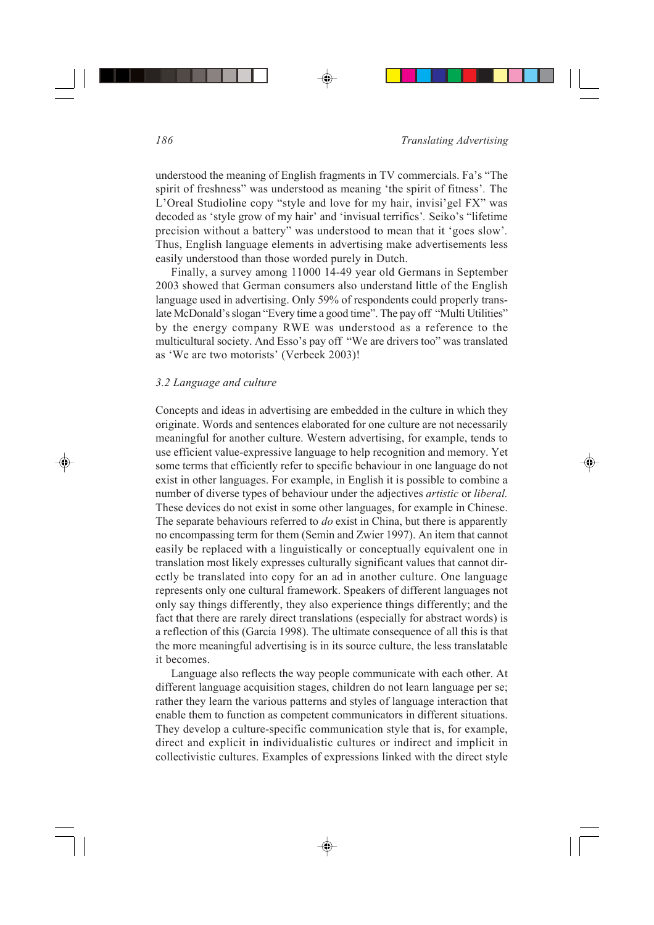understood the meaning of English fragments in TV commercials. Fa's "The spirit of freshness" was understood as meaning 'the spirit of fitness'*.* The L'Oreal Studioline copy "style and love for my hair, invisi'gel FX" was decoded as 'style grow of my hair' and 'invisual terrifics'*.* Seiko's "lifetime precision without a battery" was understood to mean that it 'goes slow'*.* Thus, English language elements in advertising make advertisements less easily understood than those worded purely in Dutch.

Finally, a survey among 11000 14-49 year old Germans in September 2003 showed that German consumers also understand little of the English language used in advertising. Only 59% of respondents could properly translate McDonald's slogan "Every time a good time". The pay off "Multi Utilities" by the energy company RWE was understood as a reference to the multicultural society. And Esso's pay off "We are drivers too" was translated as 'We are two motorists' (Verbeek 2003)!

#### *3.2 Language and culture*

Concepts and ideas in advertising are embedded in the culture in which they originate. Words and sentences elaborated for one culture are not necessarily meaningful for another culture. Western advertising, for example, tends to use efficient value-expressive language to help recognition and memory. Yet some terms that efficiently refer to specific behaviour in one language do not exist in other languages. For example, in English it is possible to combine a number of diverse types of behaviour under the adjectives *artistic* or *liberal.* These devices do not exist in some other languages, for example in Chinese. The separate behaviours referred to *do* exist in China, but there is apparently no encompassing term for them (Semin and Zwier 1997). An item that cannot easily be replaced with a linguistically or conceptually equivalent one in translation most likely expresses culturally significant values that cannot directly be translated into copy for an ad in another culture. One language represents only one cultural framework. Speakers of different languages not only say things differently, they also experience things differently; and the fact that there are rarely direct translations (especially for abstract words) is a reflection of this (Garcia 1998). The ultimate consequence of all this is that the more meaningful advertising is in its source culture, the less translatable it becomes.

Language also reflects the way people communicate with each other. At different language acquisition stages, children do not learn language per se; rather they learn the various patterns and styles of language interaction that enable them to function as competent communicators in different situations. They develop a culture-specific communication style that is, for example, direct and explicit in individualistic cultures or indirect and implicit in collectivistic cultures. Examples of expressions linked with the direct style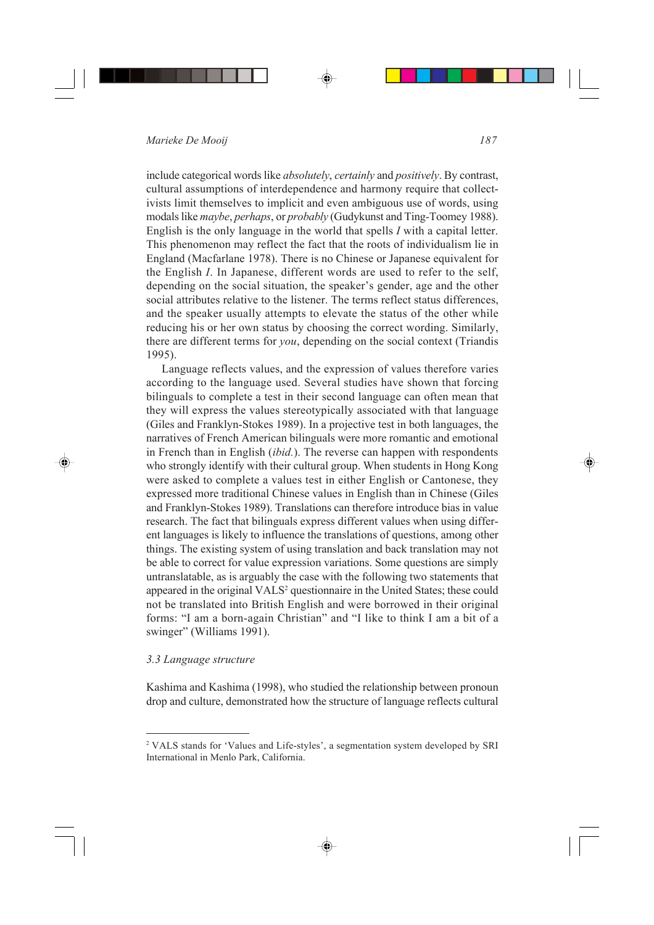include categorical words like *absolutely*, *certainly* and *positively*. By contrast, cultural assumptions of interdependence and harmony require that collectivists limit themselves to implicit and even ambiguous use of words, using modals like *maybe*, *perhaps*, or *probably* (Gudykunst and Ting-Toomey 1988). English is the only language in the world that spells *I* with a capital letter. This phenomenon may reflect the fact that the roots of individualism lie in England (Macfarlane 1978). There is no Chinese or Japanese equivalent for the English *I*. In Japanese, different words are used to refer to the self, depending on the social situation, the speaker's gender, age and the other social attributes relative to the listener. The terms reflect status differences, and the speaker usually attempts to elevate the status of the other while reducing his or her own status by choosing the correct wording. Similarly, there are different terms for *you*, depending on the social context (Triandis 1995).

Language reflects values, and the expression of values therefore varies according to the language used. Several studies have shown that forcing bilinguals to complete a test in their second language can often mean that they will express the values stereotypically associated with that language (Giles and Franklyn-Stokes 1989). In a projective test in both languages, the narratives of French American bilinguals were more romantic and emotional in French than in English (*ibid.*). The reverse can happen with respondents who strongly identify with their cultural group. When students in Hong Kong were asked to complete a values test in either English or Cantonese, they expressed more traditional Chinese values in English than in Chinese (Giles and Franklyn-Stokes 1989). Translations can therefore introduce bias in value research. The fact that bilinguals express different values when using different languages is likely to influence the translations of questions, among other things. The existing system of using translation and back translation may not be able to correct for value expression variations. Some questions are simply untranslatable, as is arguably the case with the following two statements that appeared in the original VALS<sup>2</sup> questionnaire in the United States; these could not be translated into British English and were borrowed in their original forms: "I am a born-again Christian" and "I like to think I am a bit of a swinger" (Williams 1991).

#### *3.3 Language structure*

Kashima and Kashima (1998), who studied the relationship between pronoun drop and culture, demonstrated how the structure of language reflects cultural

<sup>2</sup> VALS stands for 'Values and Life-styles', a segmentation system developed by SRI International in Menlo Park, California.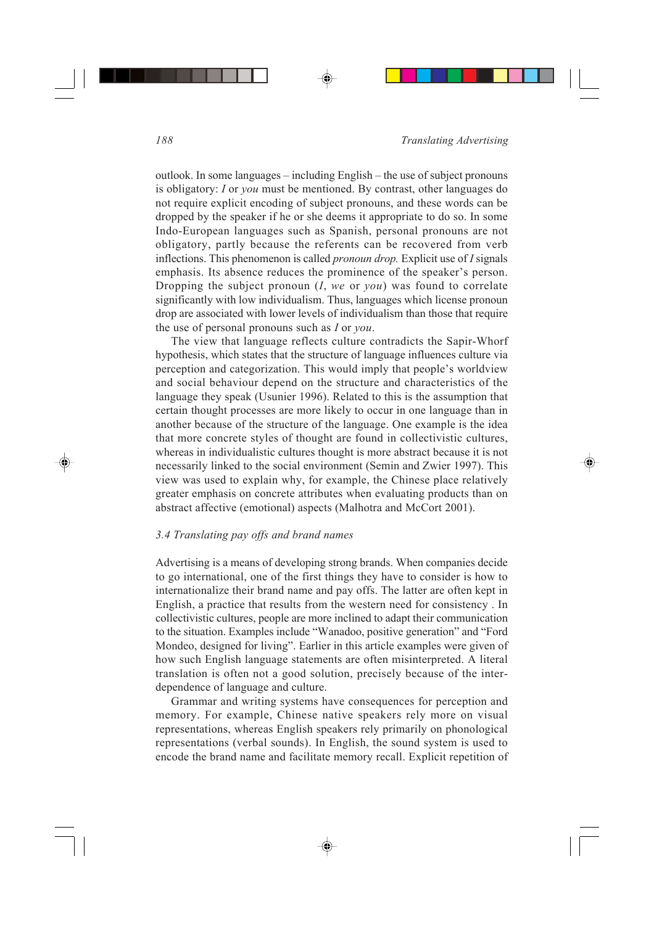outlook. In some languages – including English – the use of subject pronouns is obligatory: *I* or *you* must be mentioned. By contrast, other languages do not require explicit encoding of subject pronouns, and these words can be dropped by the speaker if he or she deems it appropriate to do so. In some Indo-European languages such as Spanish, personal pronouns are not obligatory, partly because the referents can be recovered from verb inflections. This phenomenon is called *pronoun drop.* Explicit use of *I* signals emphasis. Its absence reduces the prominence of the speaker's person. Dropping the subject pronoun (*I*, *we* or *you*) was found to correlate significantly with low individualism. Thus, languages which license pronoun drop are associated with lower levels of individualism than those that require the use of personal pronouns such as *I* or *you*.

The view that language reflects culture contradicts the Sapir-Whorf hypothesis, which states that the structure of language influences culture via perception and categorization. This would imply that people's worldview and social behaviour depend on the structure and characteristics of the language they speak (Usunier 1996). Related to this is the assumption that certain thought processes are more likely to occur in one language than in another because of the structure of the language. One example is the idea that more concrete styles of thought are found in collectivistic cultures, whereas in individualistic cultures thought is more abstract because it is not necessarily linked to the social environment (Semin and Zwier 1997). This view was used to explain why, for example, the Chinese place relatively greater emphasis on concrete attributes when evaluating products than on abstract affective (emotional) aspects (Malhotra and McCort 2001).

#### *3.4 Translating pay offs and brand names*

Advertising is a means of developing strong brands. When companies decide to go international, one of the first things they have to consider is how to internationalize their brand name and pay offs. The latter are often kept in English, a practice that results from the western need for consistency . In collectivistic cultures, people are more inclined to adapt their communication to the situation. Examples include "Wanadoo, positive generation" and "Ford Mondeo, designed for living". Earlier in this article examples were given of how such English language statements are often misinterpreted. A literal translation is often not a good solution, precisely because of the interdependence of language and culture.

Grammar and writing systems have consequences for perception and memory. For example, Chinese native speakers rely more on visual representations, whereas English speakers rely primarily on phonological representations (verbal sounds). In English, the sound system is used to encode the brand name and facilitate memory recall. Explicit repetition of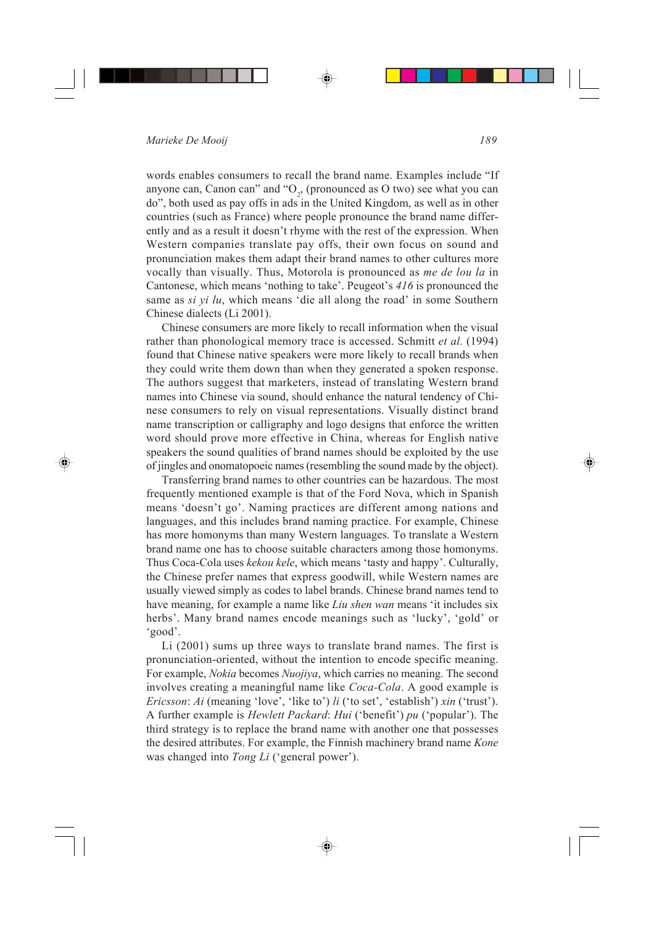words enables consumers to recall the brand name. Examples include "If anyone can, Canon can" and " $O_2$ , (pronounced as O two) see what you can do", both used as pay offs in ads in the United Kingdom, as well as in other countries (such as France) where people pronounce the brand name differently and as a result it doesn't rhyme with the rest of the expression. When Western companies translate pay offs, their own focus on sound and pronunciation makes them adapt their brand names to other cultures more vocally than visually. Thus, Motorola is pronounced as *me de lou la* in Cantonese, which means 'nothing to take'. Peugeot's *416* is pronounced the same as *si yi lu*, which means 'die all along the road' in some Southern Chinese dialects (Li 2001).

Chinese consumers are more likely to recall information when the visual rather than phonological memory trace is accessed. Schmitt *et al.* (1994) found that Chinese native speakers were more likely to recall brands when they could write them down than when they generated a spoken response. The authors suggest that marketers, instead of translating Western brand names into Chinese via sound, should enhance the natural tendency of Chinese consumers to rely on visual representations. Visually distinct brand name transcription or calligraphy and logo designs that enforce the written word should prove more effective in China, whereas for English native speakers the sound qualities of brand names should be exploited by the use of jingles and onomatopoeic names (resembling the sound made by the object).

Transferring brand names to other countries can be hazardous. The most frequently mentioned example is that of the Ford Nova, which in Spanish means 'doesn't go'. Naming practices are different among nations and languages, and this includes brand naming practice. For example, Chinese has more homonyms than many Western languages. To translate a Western brand name one has to choose suitable characters among those homonyms. Thus Coca-Cola uses *kekou kele*, which means 'tasty and happy'. Culturally, the Chinese prefer names that express goodwill, while Western names are usually viewed simply as codes to label brands. Chinese brand names tend to have meaning, for example a name like *Liu shen wan* means 'it includes six herbs'. Many brand names encode meanings such as 'lucky', 'gold' or 'good'.

Li (2001) sums up three ways to translate brand names. The first is pronunciation-oriented, without the intention to encode specific meaning. For example, *Nokia* becomes *Nuojiya*, which carries no meaning. The second involves creating a meaningful name like *Coca-Cola*. A good example is *Ericsson*: *Ai* (meaning 'love', 'like to') *li* ('to set', 'establish') *xin* ('trust'). A further example is *Hewlett Packard*: *Hui* ('benefit') *pu* ('popular'). The third strategy is to replace the brand name with another one that possesses the desired attributes. For example, the Finnish machinery brand name *Kone* was changed into *Tong Li* ('general power').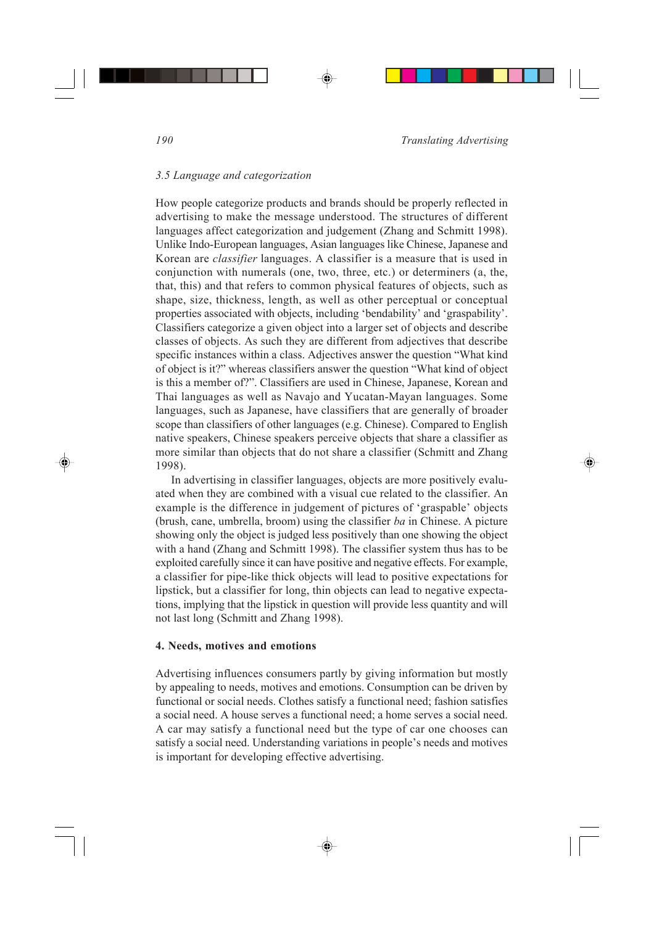#### *3.5 Language and categorization*

How people categorize products and brands should be properly reflected in advertising to make the message understood. The structures of different languages affect categorization and judgement (Zhang and Schmitt 1998). Unlike Indo-European languages, Asian languages like Chinese, Japanese and Korean are *classifier* languages. A classifier is a measure that is used in conjunction with numerals (one, two, three, etc.) or determiners (a, the, that, this) and that refers to common physical features of objects, such as shape, size, thickness, length, as well as other perceptual or conceptual properties associated with objects, including 'bendability' and 'graspability'. Classifiers categorize a given object into a larger set of objects and describe classes of objects. As such they are different from adjectives that describe specific instances within a class. Adjectives answer the question "What kind of object is it?" whereas classifiers answer the question "What kind of object is this a member of?". Classifiers are used in Chinese, Japanese, Korean and Thai languages as well as Navajo and Yucatan-Mayan languages. Some languages, such as Japanese, have classifiers that are generally of broader scope than classifiers of other languages (e.g. Chinese). Compared to English native speakers, Chinese speakers perceive objects that share a classifier as more similar than objects that do not share a classifier (Schmitt and Zhang 1998).

In advertising in classifier languages, objects are more positively evaluated when they are combined with a visual cue related to the classifier. An example is the difference in judgement of pictures of 'graspable' objects (brush, cane, umbrella, broom) using the classifier *ba* in Chinese. A picture showing only the object is judged less positively than one showing the object with a hand (Zhang and Schmitt 1998). The classifier system thus has to be exploited carefully since it can have positive and negative effects. For example, a classifier for pipe-like thick objects will lead to positive expectations for lipstick, but a classifier for long, thin objects can lead to negative expectations, implying that the lipstick in question will provide less quantity and will not last long (Schmitt and Zhang 1998).

#### **4. Needs, motives and emotions**

Advertising influences consumers partly by giving information but mostly by appealing to needs, motives and emotions. Consumption can be driven by functional or social needs. Clothes satisfy a functional need; fashion satisfies a social need. A house serves a functional need; a home serves a social need. A car may satisfy a functional need but the type of car one chooses can satisfy a social need. Understanding variations in people's needs and motives is important for developing effective advertising.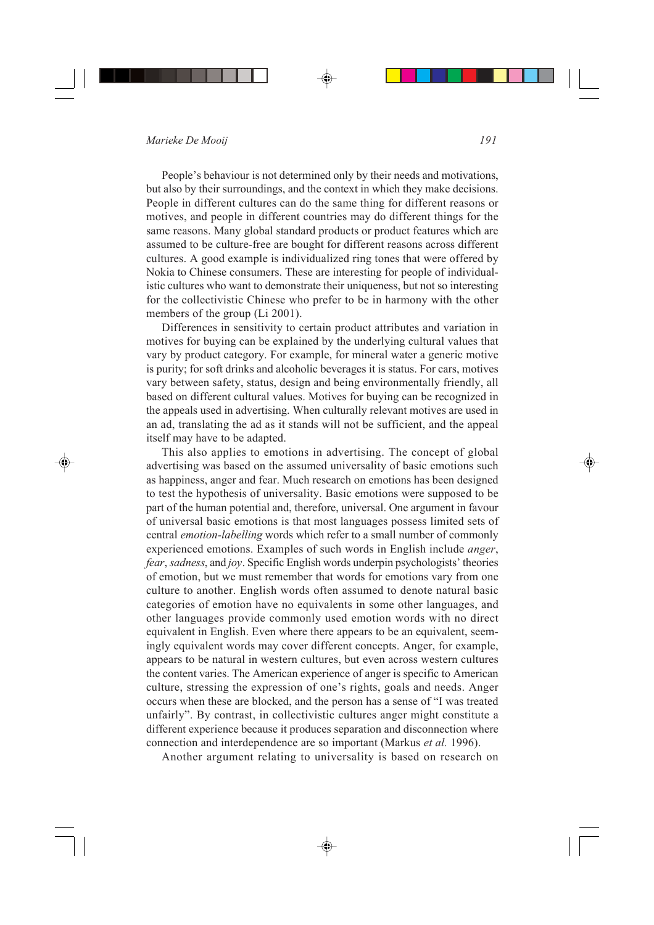People's behaviour is not determined only by their needs and motivations, but also by their surroundings, and the context in which they make decisions. People in different cultures can do the same thing for different reasons or motives, and people in different countries may do different things for the same reasons. Many global standard products or product features which are assumed to be culture-free are bought for different reasons across different cultures. A good example is individualized ring tones that were offered by Nokia to Chinese consumers. These are interesting for people of individualistic cultures who want to demonstrate their uniqueness, but not so interesting for the collectivistic Chinese who prefer to be in harmony with the other members of the group (Li 2001).

Differences in sensitivity to certain product attributes and variation in motives for buying can be explained by the underlying cultural values that vary by product category. For example, for mineral water a generic motive is purity; for soft drinks and alcoholic beverages it is status. For cars, motives vary between safety, status, design and being environmentally friendly, all based on different cultural values. Motives for buying can be recognized in the appeals used in advertising. When culturally relevant motives are used in an ad, translating the ad as it stands will not be sufficient, and the appeal itself may have to be adapted.

This also applies to emotions in advertising. The concept of global advertising was based on the assumed universality of basic emotions such as happiness, anger and fear. Much research on emotions has been designed to test the hypothesis of universality. Basic emotions were supposed to be part of the human potential and, therefore, universal. One argument in favour of universal basic emotions is that most languages possess limited sets of central *emotion-labelling* words which refer to a small number of commonly experienced emotions. Examples of such words in English include *anger*, *fear*, *sadness*, and *joy*. Specific English words underpin psychologists' theories of emotion, but we must remember that words for emotions vary from one culture to another. English words often assumed to denote natural basic categories of emotion have no equivalents in some other languages, and other languages provide commonly used emotion words with no direct equivalent in English. Even where there appears to be an equivalent, seemingly equivalent words may cover different concepts. Anger, for example, appears to be natural in western cultures, but even across western cultures the content varies. The American experience of anger is specific to American culture, stressing the expression of one's rights, goals and needs. Anger occurs when these are blocked, and the person has a sense of "I was treated unfairly". By contrast, in collectivistic cultures anger might constitute a different experience because it produces separation and disconnection where connection and interdependence are so important (Markus *et al.* 1996).

Another argument relating to universality is based on research on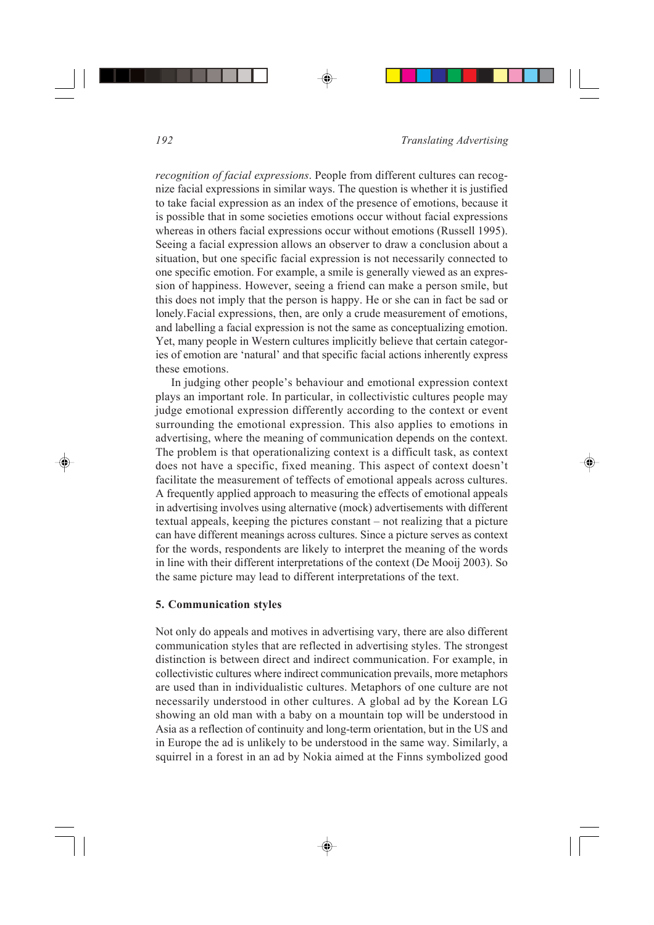*recognition of facial expressions*. People from different cultures can recognize facial expressions in similar ways. The question is whether it is justified to take facial expression as an index of the presence of emotions, because it is possible that in some societies emotions occur without facial expressions whereas in others facial expressions occur without emotions (Russell 1995). Seeing a facial expression allows an observer to draw a conclusion about a situation, but one specific facial expression is not necessarily connected to one specific emotion. For example, a smile is generally viewed as an expression of happiness. However, seeing a friend can make a person smile, but this does not imply that the person is happy. He or she can in fact be sad or lonely.Facial expressions, then, are only a crude measurement of emotions, and labelling a facial expression is not the same as conceptualizing emotion. Yet, many people in Western cultures implicitly believe that certain categories of emotion are 'natural' and that specific facial actions inherently express these emotions.

In judging other people's behaviour and emotional expression context plays an important role. In particular, in collectivistic cultures people may judge emotional expression differently according to the context or event surrounding the emotional expression. This also applies to emotions in advertising, where the meaning of communication depends on the context. The problem is that operationalizing context is a difficult task, as context does not have a specific, fixed meaning. This aspect of context doesn't facilitate the measurement of teffects of emotional appeals across cultures. A frequently applied approach to measuring the effects of emotional appeals in advertising involves using alternative (mock) advertisements with different textual appeals, keeping the pictures constant – not realizing that a picture can have different meanings across cultures. Since a picture serves as context for the words, respondents are likely to interpret the meaning of the words in line with their different interpretations of the context (De Mooij 2003). So the same picture may lead to different interpretations of the text.

#### **5. Communication styles**

Not only do appeals and motives in advertising vary, there are also different communication styles that are reflected in advertising styles. The strongest distinction is between direct and indirect communication. For example, in collectivistic cultures where indirect communication prevails, more metaphors are used than in individualistic cultures. Metaphors of one culture are not necessarily understood in other cultures. A global ad by the Korean LG showing an old man with a baby on a mountain top will be understood in Asia as a reflection of continuity and long-term orientation, but in the US and in Europe the ad is unlikely to be understood in the same way. Similarly, a squirrel in a forest in an ad by Nokia aimed at the Finns symbolized good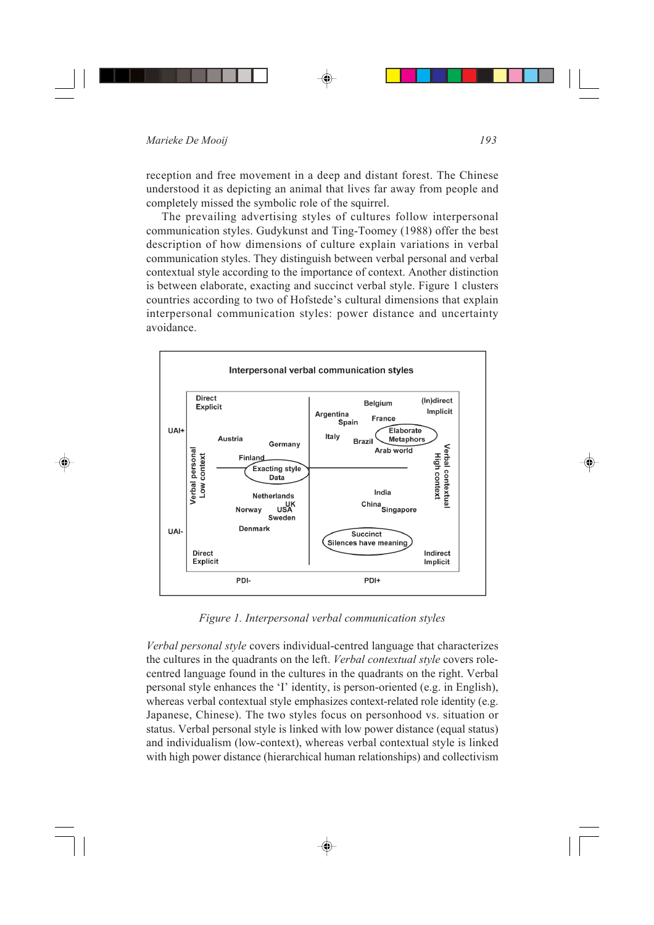reception and free movement in a deep and distant forest. The Chinese understood it as depicting an animal that lives far away from people and completely missed the symbolic role of the squirrel.

The prevailing advertising styles of cultures follow interpersonal communication styles. Gudykunst and Ting-Toomey (1988) offer the best description of how dimensions of culture explain variations in verbal communication styles. They distinguish between verbal personal and verbal contextual style according to the importance of context. Another distinction is between elaborate, exacting and succinct verbal style. Figure 1 clusters countries according to two of Hofstede's cultural dimensions that explain interpersonal communication styles: power distance and uncertainty avoidance.



*Figure 1. Interpersonal verbal communication styles*

*Verbal personal style* covers individual-centred language that characterizes the cultures in the quadrants on the left. *Verbal contextual style* covers rolecentred language found in the cultures in the quadrants on the right. Verbal personal style enhances the 'I' identity, is person-oriented (e.g. in English), whereas verbal contextual style emphasizes context-related role identity (e.g. Japanese, Chinese). The two styles focus on personhood vs. situation or status. Verbal personal style is linked with low power distance (equal status) and individualism (low-context), whereas verbal contextual style is linked with high power distance (hierarchical human relationships) and collectivism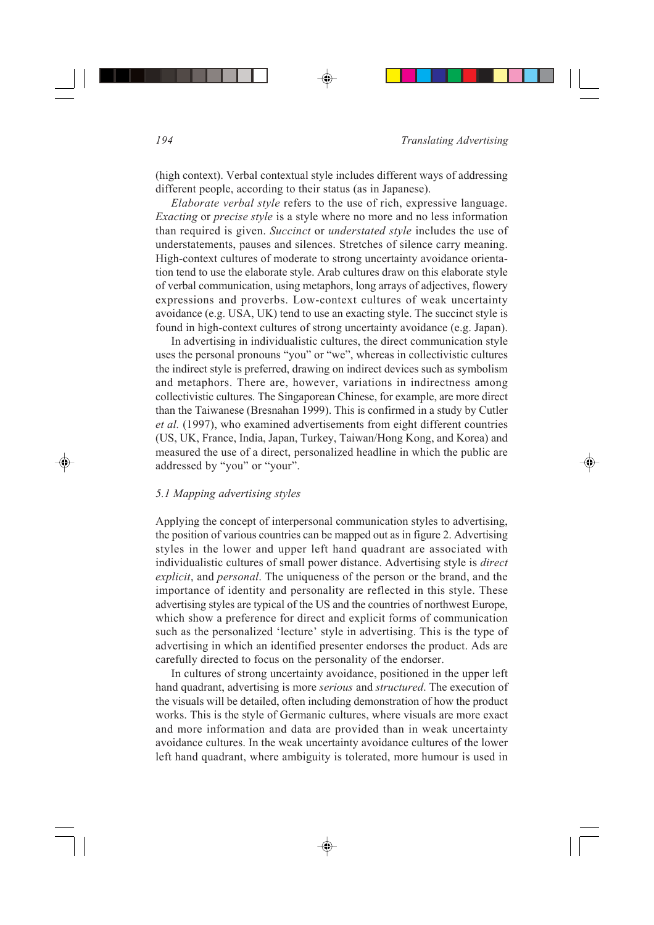(high context). Verbal contextual style includes different ways of addressing different people, according to their status (as in Japanese).

*Elaborate verbal style* refers to the use of rich, expressive language. *Exacting* or *precise style* is a style where no more and no less information than required is given. *Succinct* or *understated style* includes the use of understatements, pauses and silences. Stretches of silence carry meaning. High-context cultures of moderate to strong uncertainty avoidance orientation tend to use the elaborate style. Arab cultures draw on this elaborate style of verbal communication, using metaphors, long arrays of adjectives, flowery expressions and proverbs. Low-context cultures of weak uncertainty avoidance (e.g. USA, UK) tend to use an exacting style. The succinct style is found in high-context cultures of strong uncertainty avoidance (e.g. Japan).

In advertising in individualistic cultures, the direct communication style uses the personal pronouns "you" or "we", whereas in collectivistic cultures the indirect style is preferred, drawing on indirect devices such as symbolism and metaphors. There are, however, variations in indirectness among collectivistic cultures. The Singaporean Chinese, for example, are more direct than the Taiwanese (Bresnahan 1999). This is confirmed in a study by Cutler *et al.* (1997), who examined advertisements from eight different countries (US, UK, France, India, Japan, Turkey, Taiwan/Hong Kong, and Korea) and measured the use of a direct, personalized headline in which the public are addressed by "you" or "your".

#### *5.1 Mapping advertising styles*

Applying the concept of interpersonal communication styles to advertising, the position of various countries can be mapped out as in figure 2. Advertising styles in the lower and upper left hand quadrant are associated with individualistic cultures of small power distance. Advertising style is *direct explicit*, and *personal*. The uniqueness of the person or the brand, and the importance of identity and personality are reflected in this style. These advertising styles are typical of the US and the countries of northwest Europe, which show a preference for direct and explicit forms of communication such as the personalized 'lecture' style in advertising. This is the type of advertising in which an identified presenter endorses the product. Ads are carefully directed to focus on the personality of the endorser.

In cultures of strong uncertainty avoidance, positioned in the upper left hand quadrant, advertising is more *serious* and *structured*. The execution of the visuals will be detailed, often including demonstration of how the product works. This is the style of Germanic cultures, where visuals are more exact and more information and data are provided than in weak uncertainty avoidance cultures. In the weak uncertainty avoidance cultures of the lower left hand quadrant, where ambiguity is tolerated, more humour is used in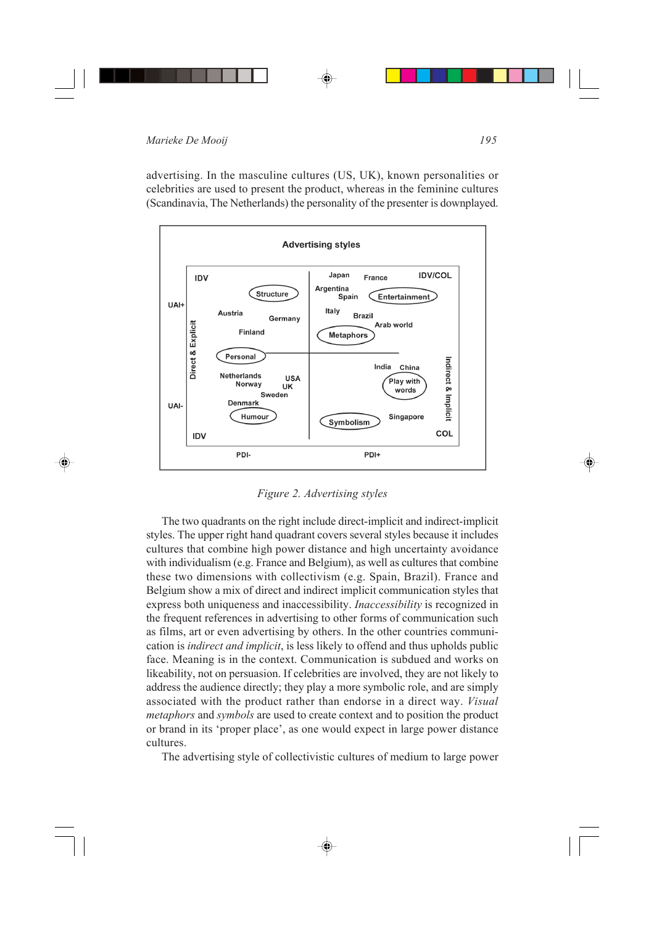advertising. In the masculine cultures (US, UK), known personalities or celebrities are used to present the product, whereas in the feminine cultures (Scandinavia, The Netherlands) the personality of the presenter is downplayed.



*Figure 2. Advertising styles*

The two quadrants on the right include direct-implicit and indirect-implicit styles. The upper right hand quadrant covers several styles because it includes cultures that combine high power distance and high uncertainty avoidance with individualism (e.g. France and Belgium), as well as cultures that combine these two dimensions with collectivism (e.g. Spain, Brazil). France and Belgium show a mix of direct and indirect implicit communication styles that express both uniqueness and inaccessibility. *Inaccessibility* is recognized in the frequent references in advertising to other forms of communication such as films, art or even advertising by others. In the other countries communication is *indirect and implicit*, is less likely to offend and thus upholds public face. Meaning is in the context. Communication is subdued and works on likeability, not on persuasion. If celebrities are involved, they are not likely to address the audience directly; they play a more symbolic role, and are simply associated with the product rather than endorse in a direct way. *Visual metaphors* and *symbols* are used to create context and to position the product or brand in its 'proper place', as one would expect in large power distance cultures.

The advertising style of collectivistic cultures of medium to large power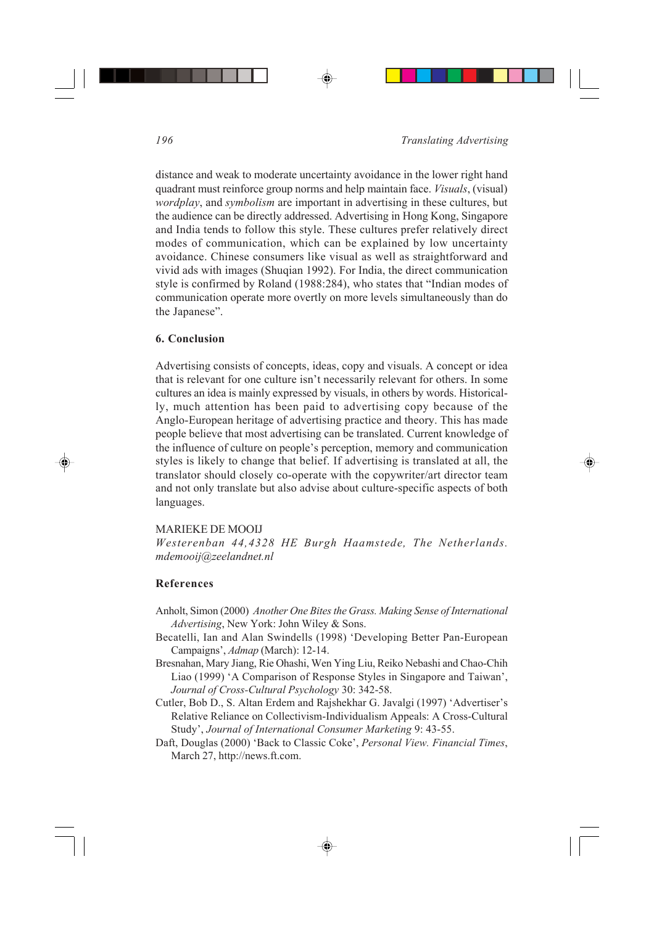distance and weak to moderate uncertainty avoidance in the lower right hand quadrant must reinforce group norms and help maintain face. *Visuals*, (visual) *wordplay*, and *symbolism* are important in advertising in these cultures, but the audience can be directly addressed. Advertising in Hong Kong, Singapore and India tends to follow this style. These cultures prefer relatively direct modes of communication, which can be explained by low uncertainty avoidance. Chinese consumers like visual as well as straightforward and vivid ads with images (Shuqian 1992). For India, the direct communication style is confirmed by Roland (1988:284), who states that "Indian modes of communication operate more overtly on more levels simultaneously than do the Japanese".

#### **6. Conclusion**

Advertising consists of concepts, ideas, copy and visuals. A concept or idea that is relevant for one culture isn't necessarily relevant for others. In some cultures an idea is mainly expressed by visuals, in others by words. Historically, much attention has been paid to advertising copy because of the Anglo-European heritage of advertising practice and theory. This has made people believe that most advertising can be translated. Current knowledge of the influence of culture on people's perception, memory and communication styles is likely to change that belief. If advertising is translated at all, the translator should closely co-operate with the copywriter/art director team and not only translate but also advise about culture-specific aspects of both languages.

#### MARIEKE DE MOOIJ

*Westerenban 44,4328 HE Burgh Haamstede, The Netherlands. mdemooij@zeelandnet.nl*

# **References**

- Anholt, Simon (2000) *Another One Bites the Grass. Making Sense of International Advertising*, New York: John Wiley & Sons.
- Becatelli, Ian and Alan Swindells (1998) 'Developing Better Pan-European Campaigns', *Admap* (March): 12-14.
- Bresnahan, Mary Jiang, Rie Ohashi, Wen Ying Liu, Reiko Nebashi and Chao-Chih Liao (1999) 'A Comparison of Response Styles in Singapore and Taiwan', *Journal of Cross-Cultural Psychology* 30: 342-58.
- Cutler, Bob D., S. Altan Erdem and Rajshekhar G. Javalgi (1997) 'Advertiser's Relative Reliance on Collectivism-Individualism Appeals: A Cross-Cultural Study', *Journal of International Consumer Marketing* 9: 43-55.
- Daft, Douglas (2000) 'Back to Classic Coke', *Personal View. Financial Times*, March 27, http://news.ft.com.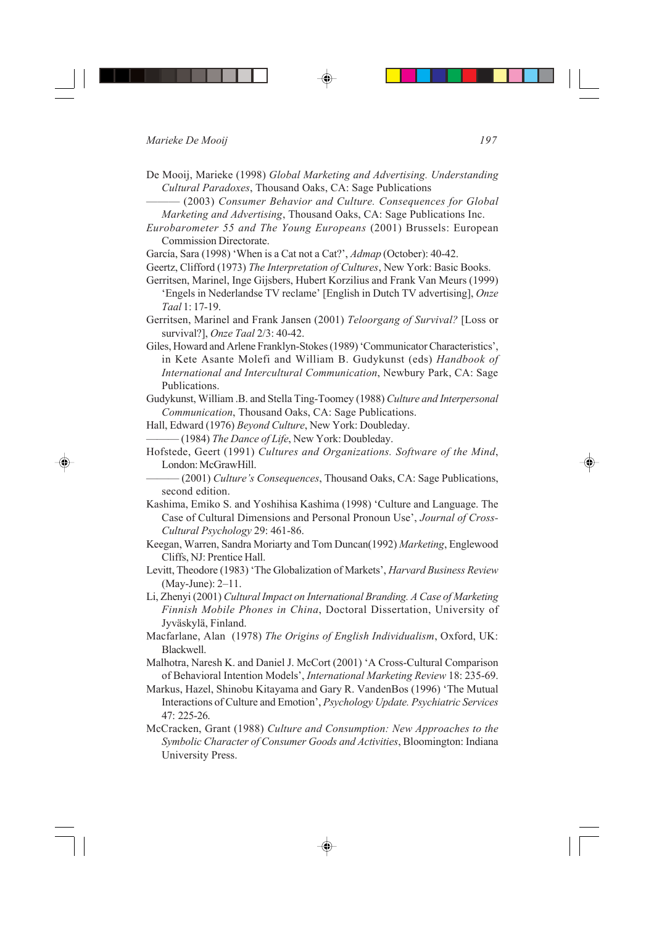- De Mooij, Marieke (1998) *Global Marketing and Advertising. Understanding Cultural Paradoxes*, Thousand Oaks, CA: Sage Publications
	- ——— (2003) *Consumer Behavior and Culture. Consequences for Global Marketing and Advertising*, Thousand Oaks, CA: Sage Publications Inc.
- *Eurobarometer 55 and The Young Europeans* (2001) Brussels: European Commission Directorate.

García, Sara (1998) 'When is a Cat not a Cat?', *Admap* (October): 40-42.

Geertz, Clifford (1973) *The Interpretation of Cultures*, New York: Basic Books.

- Gerritsen, Marinel, Inge Gijsbers, Hubert Korzilius and Frank Van Meurs (1999) 'Engels in Nederlandse TV reclame' [English in Dutch TV advertising], *Onze Taal* 1: 17-19.
- Gerritsen, Marinel and Frank Jansen (2001) *Teloorgang of Survival?* [Loss or survival?], *Onze Taal* 2/3: 40-42.
- Giles, Howard and Arlene Franklyn-Stokes (1989) 'Communicator Characteristics', in Kete Asante Molefi and William B. Gudykunst (eds) *Handbook of International and Intercultural Communication*, Newbury Park, CA: Sage Publications.
- Gudykunst, William .B. and Stella Ting-Toomey (1988) *Culture and Interpersonal Communication*, Thousand Oaks, CA: Sage Publications.
- Hall, Edward (1976) *Beyond Culture*, New York: Doubleday.
- ——— (1984) *The Dance of Life*, New York: Doubleday.
- Hofstede, Geert (1991) *Cultures and Organizations. Software of the Mind*, London: McGrawHill.
	- ——— (2001) *Culture's Consequences*, Thousand Oaks, CA: Sage Publications, second edition.
- Kashima, Emiko S. and Yoshihisa Kashima (1998) 'Culture and Language. The Case of Cultural Dimensions and Personal Pronoun Use', *Journal of Cross-Cultural Psychology* 29: 461-86.
- Keegan, Warren, Sandra Moriarty and Tom Duncan(1992) *Marketing*, Englewood Cliffs, NJ: Prentice Hall.
- Levitt, Theodore (1983) 'The Globalization of Markets', *Harvard Business Review* (May-June): 2–11.
- Li, Zhenyi (2001) *Cultural Impact on International Branding. A Case of Marketing Finnish Mobile Phones in China*, Doctoral Dissertation, University of Jyväskylä, Finland.
- Macfarlane, Alan (1978) *The Origins of English Individualism*, Oxford, UK: Blackwell.
- Malhotra, Naresh K. and Daniel J. McCort (2001) 'A Cross-Cultural Comparison of Behavioral Intention Models', *International Marketing Review* 18: 235-69.
- Markus, Hazel, Shinobu Kitayama and Gary R. VandenBos (1996) 'The Mutual Interactions of Culture and Emotion', *Psychology Update. Psychiatric Services* 47: 225-26.
- McCracken, Grant (1988) *Culture and Consumption: New Approaches to the Symbolic Character of Consumer Goods and Activities*, Bloomington: Indiana University Press.